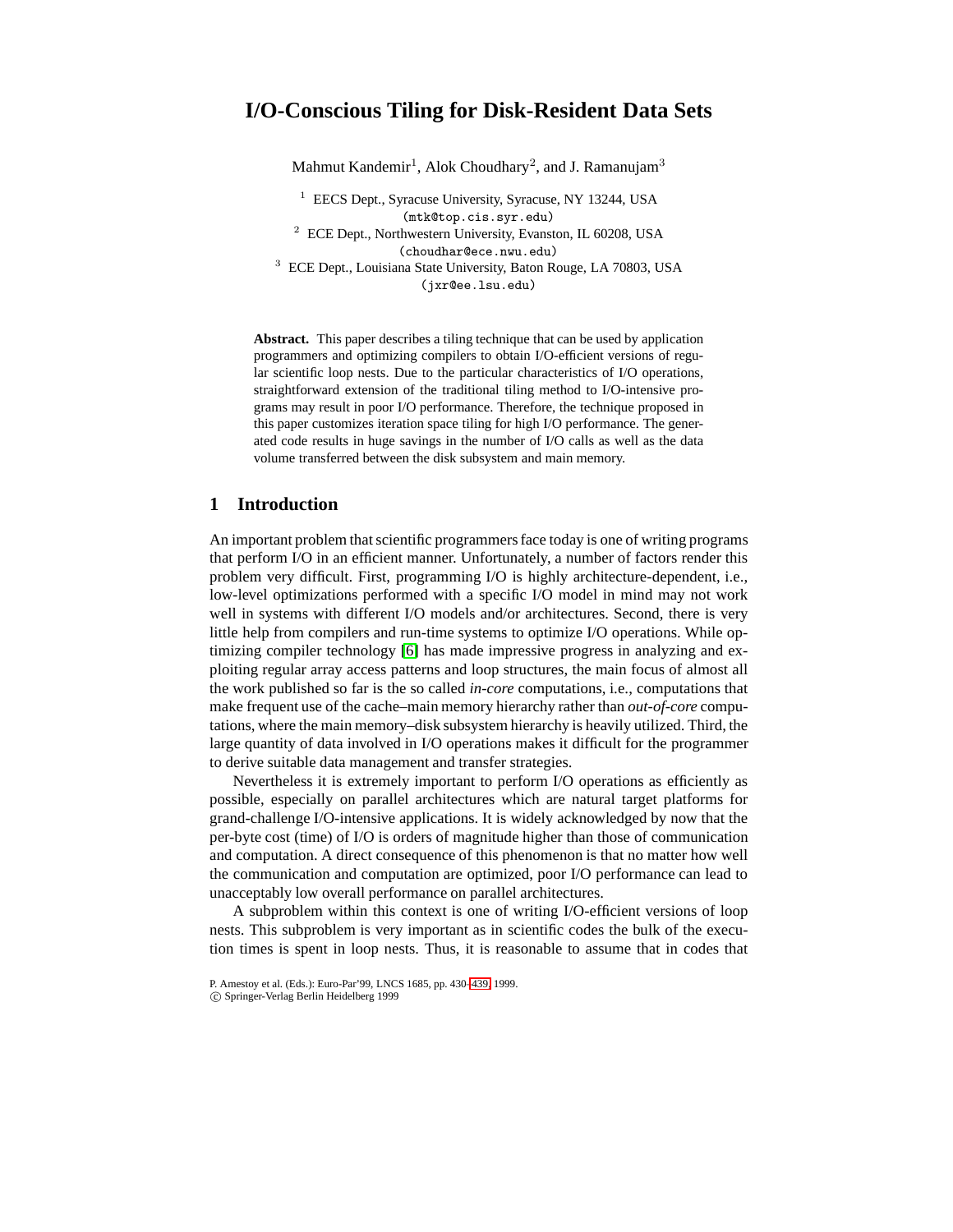# **I/O-Conscious Tiling for Disk-Resident Data Sets**

Mahmut Kandemir<sup>1</sup>, Alok Choudhary<sup>2</sup>, and J. Ramanujam<sup>3</sup>

<sup>1</sup> EECS Dept., Syracuse University, Syracuse, NY 13244, USA (mtk@top.cis.syr.edu)

<sup>2</sup> ECE Dept., Northwestern University, Evanston, IL 60208, USA (choudhar@ece.nwu.edu)

<sup>3</sup> ECE Dept., Louisiana State University, Baton Rouge, LA 70803, USA (jxr@ee.lsu.edu)

**Abstract.** This paper describes a tiling technique that can be used by application programmers and optimizing compilers to obtain I/O-efficient versions of regular scientific loop nests. Due to the particular characteristics of I/O operations, straightforward extension of the traditional tiling method to I/O-intensive programs may result in poor I/O performance. Therefore, the technique proposed in this paper customizes iteration space tiling for high I/O performance. The generated code results in huge savings in the number of I/O calls as well as the data volume transferred between the disk subsystem and main memory.

# **1 Introduction**

An important problem that scientific programmers face today is one of writing programs that perform I/O in an efficient manner. Unfortunately, a number of factors render this problem very difficult. First, programming I/O is highly architecture-dependent, i.e., low-level optimizations performed with a specific I/O model in mind may not work well in systems with different I/O models and/or architectures. Second, there is very little help from compilers and run-time systems to optimize I/O operations. While optimizing compiler technology [\[6\]](#page-9-0) has made impressive progress in analyzing and exploiting regular array access patterns and loop structures, the main focus of almost all the work published so far is the so called *in-core* computations, i.e., computations that make frequent use of the cache–main memory hierarchy rather than *out-of-core* computations, where the main memory–disk subsystem hierarchy is heavily utilized. Third, the large quantity of data involved in I/O operations makes it difficult for the programmer to derive suitable data management and transfer strategies.

Nevertheless it is extremely important to perform I/O operations as efficiently as possible, especially on parallel architectures which are natural target platforms for grand-challenge I/O-intensive applications. It is widely acknowledged by now that the per-byte cost (time) of I/O is orders of magnitude higher than those of communication and computation. A direct consequence of this phenomenon is that no matter how well the communication and computation are optimized, poor I/O performance can lead to unacceptably low overall performance on parallel architectures.

A subproblem within this context is one of writing I/O-efficient versions of loop nests. This subproblem is very important as in scientific codes the bulk of the execution times is spent in loop nests. Thus, it is reasonable to assume that in codes that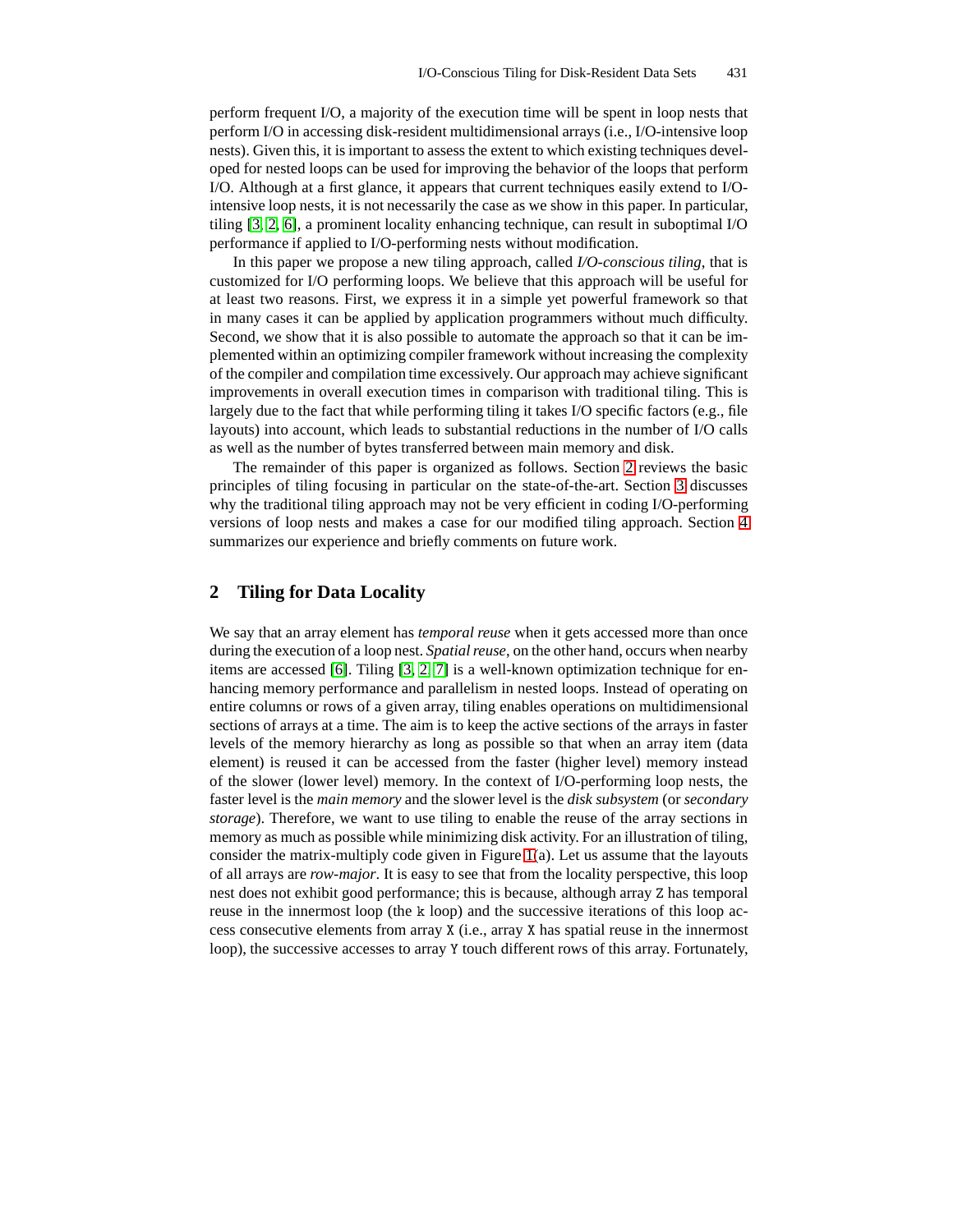perform frequent I/O, a majority of the execution time will be spent in loop nests that perform I/O in accessing disk-resident multidimensional arrays (i.e., I/O-intensive loop nests). Given this, it is important to assess the extent to which existing techniques developed for nested loops can be used for improving the behavior of the loops that perform I/O. Although at a first glance, it appears that current techniques easily extend to I/Ointensive loop nests, it is not necessarily the case as we show in this paper. In particular, tiling [\[3,](#page-9-2) [2,](#page-9-3) [6\]](#page-9-0), a prominent locality enhancing technique, can result in suboptimal I/O performance if applied to I/O-performing nests without modification.

In this paper we propose a new tiling approach, called *I/O-conscious tiling*, that is customized for I/O performing loops. We believe that this approach will be useful for at least two reasons. First, we express it in a simple yet powerful framework so that in many cases it can be applied by application programmers without much difficulty. Second, we show that it is also possible to automate the approach so that it can be implemented within an optimizing compiler framework without increasing the complexity of the compiler and compilation time excessively. Our approach may achieve significant improvements in overall execution times in comparison with traditional tiling. This is largely due to the fact that while performing tiling it takes I/O specific factors (e.g., file layouts) into account, which leads to substantial reductions in the number of I/O calls as well as the number of bytes transferred between main memory and disk.

The remainder of this paper is organized as follows. Section [2](#page-1-0) reviews the basic principles of tiling focusing in particular on the state-of-the-art. Section [3](#page-3-0) discusses why the traditional tiling approach may not be very efficient in coding I/O-performing versions of loop nests and makes a case for our modified tiling approach. Section [4](#page-8-0) summarizes our experience and briefly comments on future work.

### <span id="page-1-0"></span>**2 Tiling for Data Locality**

We say that an array element has *temporal reuse* when it gets accessed more than once during the execution of a loop nest. *Spatial reuse*, on the other hand, occurs when nearby items are accessed [\[6\]](#page-9-0). Tiling [\[3,](#page-9-2) [2,](#page-9-3) [7\]](#page-9-4) is a well-known optimization technique for enhancing memory performance and parallelism in nested loops. Instead of operating on entire columns or rows of a given array, tiling enables operations on multidimensional sections of arrays at a time. The aim is to keep the active sections of the arrays in faster levels of the memory hierarchy as long as possible so that when an array item (data element) is reused it can be accessed from the faster (higher level) memory instead of the slower (lower level) memory. In the context of I/O-performing loop nests, the faster level is the *main memory* and the slower level is the *disk subsystem* (or *secondary storage*). Therefore, we want to use tiling to enable the reuse of the array sections in memory as much as possible while minimizing disk activity. For an illustration of tiling, consider the matrix-multiply code given in Figure [1\(](#page-2-0)a). Let us assume that the layouts of all arrays are *row-major*. It is easy to see that from the locality perspective, this loop nest does not exhibit good performance; this is because, although array Z has temporal reuse in the innermost loop (the k loop) and the successive iterations of this loop access consecutive elements from array X (i.e., array X has spatial reuse in the innermost loop), the successive accesses to array Y touch different rows of this array. Fortunately,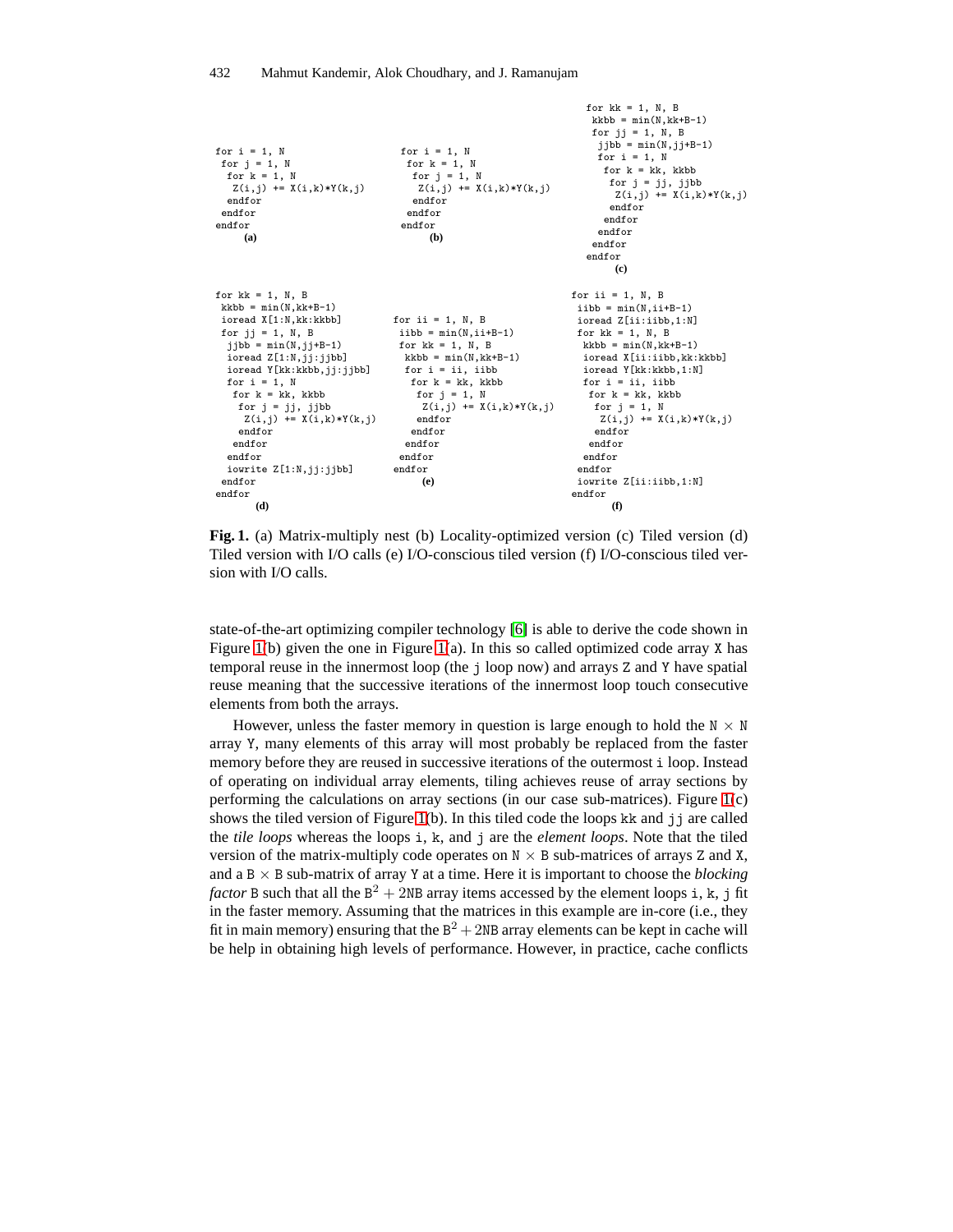```
for i = 1, Nfor j = 1, Nfor k = 1, NZ(i,j) += X(i,k)*Y(k,j)endfor
endfor
endfor
    (a)
                              for i = 1, Nfor k = 1, Nfor j = 1, NZ(i,j) += X(i,k)*Y(k,j)endfor
                                endfor
                               endfor
                                    (b)
                                                               for kk = 1, N, Bkkbb = min(N, kk+B-1)for ji = 1, N, Bjjbb = min(N, jj+B-1)for i = 1, Nfor k = kk, kkbb
                                                                  for j = jj, jjbb
                                                                   Z(i, j) += X(i, k) * Y(k, j)endfor
                                                                  endfor
                                                                 endfor
                                                                endfor
                                                               endfor
                                                                     (c)
for kk = 1, N, Bkkbb = min(N, kk+B-1)ioread X[1:N,kk:kkbb]
for ji = 1, N, Bjjbb = min(N, jj+B-1)<br>ionard max(T, T)ioread Z[1:N,jj:jjbb]
  ioread Y[kk:kkbb,jj:jibb]
 for i = 1, Nfor k = kk, kkbb
   for j = jj, jjbbZ(i,j) += X(i,k)*Y(k,j)endfor
  endfor
 endfor
 iowrite Z[1:N,jj:jjbb]
endfor
endfor
      (d)
                             for ii = 1, N, B
                                iibb = min(N, ii+B-1)<br>for kk = 1, N, Bkkbb = min(N, kk+B-1)for i = ii, iibbfor k = kk, kkbbfor j = 1, NZ(i,j) += X(i,k)*Y(k,j)endfor
                                endfor
                                endfor
                              endfor
                             endfor
                                  (e)
                                                            for ii = 1, N, Biibb = min(N, ii+B-1)ioread Z[ii:iibb,1:N]
                                                              for kk = 1, N, Bkkbb = min(N, kk+B-1)ioread X[ii:iibb,kk:kkbb]
                                                               ioread Y[kk:kkbb,1:N]
                                                             for i = ii, iibb
                                                              for k = kk, kkbb
                                                                for j = 1, N
                                                                 Z(i,j) += X(i,k)*Y(k,i)endfor
                                                               endfor
                                                              endfor
                                                              endfor
                                                             iowrite Z[ii:iibb,1:N]
                                                             endfor
                                                                    (f)
```
<span id="page-2-0"></span>**Fig. 1.** (a) Matrix-multiply nest (b) Locality-optimized version (c) Tiled version (d) Tiled version with I/O calls (e) I/O-conscious tiled version (f) I/O-conscious tiled version with I/O calls.

state-of-the-art optimizing compiler technology [\[6\]](#page-9-0) is able to derive the code shown in Figure  $1(b)$  given the one in Figure  $1(a)$ . In this so called optimized code array X has temporal reuse in the innermost loop (the j loop now) and arrays Z and Y have spatial reuse meaning that the successive iterations of the innermost loop touch consecutive elements from both the arrays.

However, unless the faster memory in question is large enough to hold the  $N \times N$ array Y, many elements of this array will most probably be replaced from the faster memory before they are reused in successive iterations of the outermost i loop. Instead of operating on individual array elements, tiling achieves reuse of array sections by performing the calculations on array sections (in our case sub-matrices). Figure  $1(c)$ shows the tiled version of Figure [1\(](#page-2-0)b). In this tiled code the loops kk and  $j$  are called the *tile loops* whereas the loops i, k, and j are the *element loops*. Note that the tiled version of the matrix-multiply code operates on  $N \times B$  sub-matrices of arrays Z and X, and a  $B \times B$  sub-matrix of array Y at a time. Here it is important to choose the *blocking factor* B such that all the  $B^2 + 2NB$  array items accessed by the element loops i, k, j fit in the faster memory. Assuming that the matrices in this example are in-core (i.e., they fit in main memory) ensuring that the  $B^2 + 2NB$  array elements can be kept in cache will be help in obtaining high levels of performance. However, in practice, cache conflicts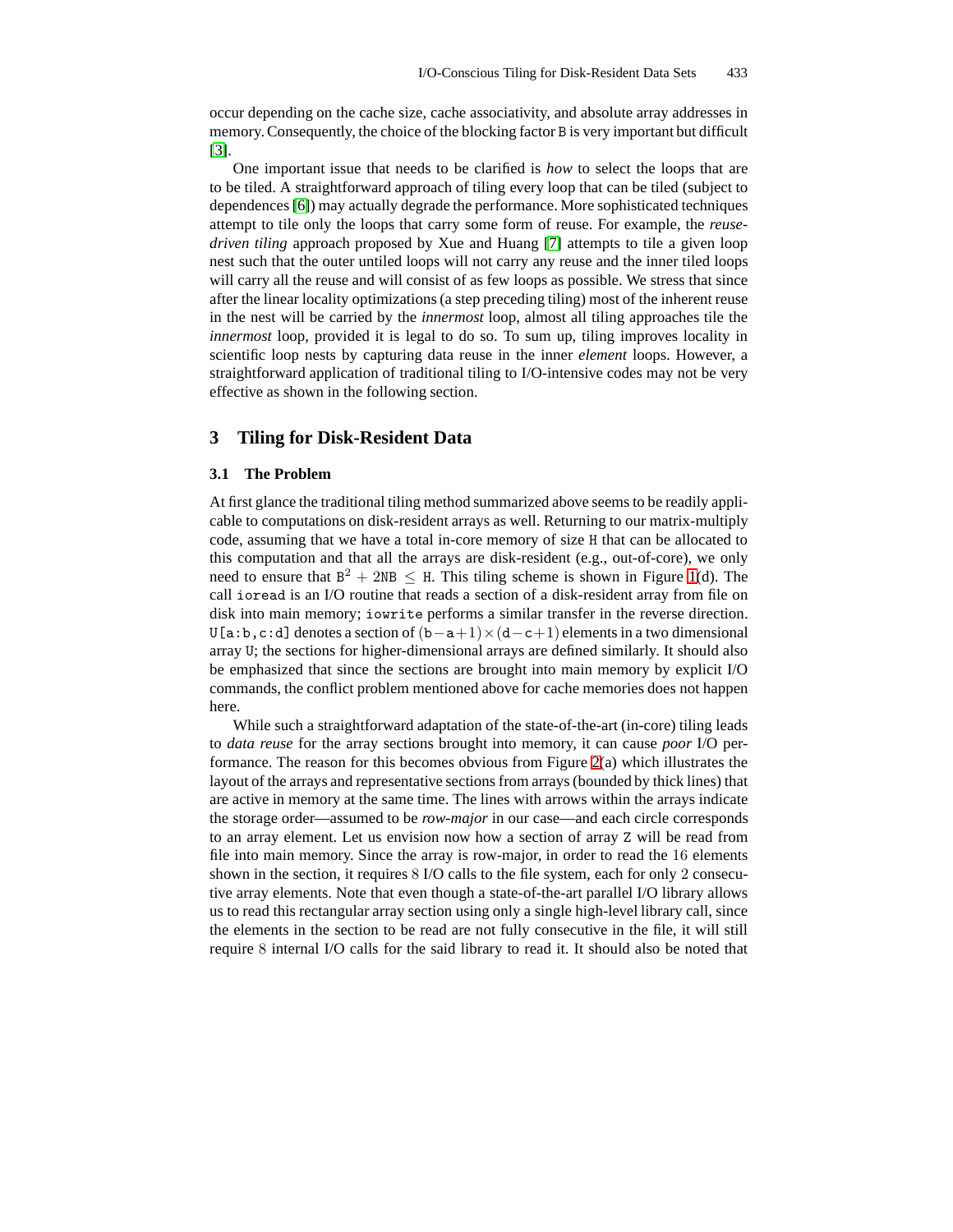occur depending on the cache size, cache associativity, and absolute array addresses in memory. Consequently, the choice of the blocking factor B is very important but difficult [\[3\]](#page-9-2).

One important issue that needs to be clarified is *how* to select the loops that are to be tiled. A straightforward approach of tiling every loop that can be tiled (subject to dependences [\[6\]](#page-9-0)) may actually degrade the performance. More sophisticated techniques attempt to tile only the loops that carry some form of reuse. For example, the *reusedriven tiling* approach proposed by Xue and Huang [\[7\]](#page-9-4) attempts to tile a given loop nest such that the outer untiled loops will not carry any reuse and the inner tiled loops will carry all the reuse and will consist of as few loops as possible. We stress that since after the linear locality optimizations (a step preceding tiling) most of the inherent reuse in the nest will be carried by the *innermost* loop, almost all tiling approaches tile the *innermost* loop, provided it is legal to do so. To sum up, tiling improves locality in scientific loop nests by capturing data reuse in the inner *element* loops. However, a straightforward application of traditional tiling to I/O-intensive codes may not be very effective as shown in the following section.

### <span id="page-3-0"></span>**3 Tiling for Disk-Resident Data**

### **3.1 The Problem**

At first glance the traditional tiling method summarized above seems to be readily applicable to computations on disk-resident arrays as well. Returning to our matrix-multiply code, assuming that we have a total in-core memory of size H that can be allocated to this computation and that all the arrays are disk-resident (e.g., out-of-core), we only need to ensure that  $B^2 + 2NB \leq H$ . This tiling scheme is shown in Figure [1\(](#page-2-0)d). The call ioread is an I/O routine that reads a section of a disk-resident array from file on disk into main memory; iowrite performs a similar transfer in the reverse direction. U[a:b,c:d] denotes a section of  $(b-a+1) \times (d-c+1)$  elements in a two dimensional array U; the sections for higher-dimensional arrays are defined similarly. It should also be emphasized that since the sections are brought into main memory by explicit I/O commands, the conflict problem mentioned above for cache memories does not happen here.

While such a straightforward adaptation of the state-of-the-art (in-core) tiling leads to *data reuse* for the array sections brought into memory, it can cause *poor* I/O performance. The reason for this becomes obvious from Figure [2\(](#page-4-0)a) which illustrates the layout of the arrays and representative sections from arrays (bounded by thick lines) that are active in memory at the same time. The lines with arrows within the arrays indicate the storage order—assumed to be *row-major* in our case—and each circle corresponds to an array element. Let us envision now how a section of array Z will be read from file into main memory. Since the array is row-major, in order to read the 16 elements shown in the section, it requires 8 I/O calls to the file system, each for only 2 consecutive array elements. Note that even though a state-of-the-art parallel I/O library allows us to read this rectangular array section using only a single high-level library call, since the elements in the section to be read are not fully consecutive in the file, it will still require 8 internal I/O calls for the said library to read it. It should also be noted that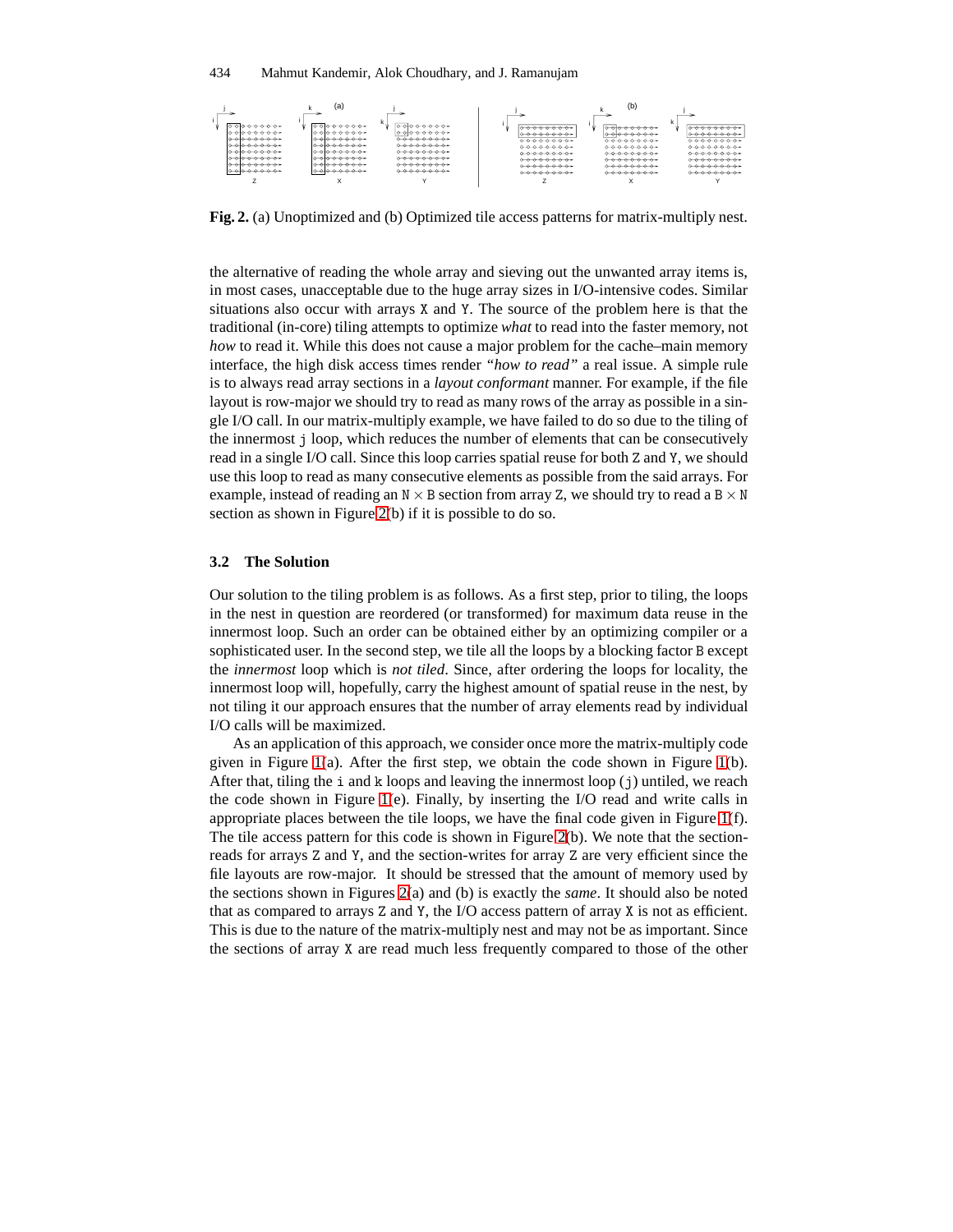

<span id="page-4-0"></span>**Fig. 2.** (a) Unoptimized and (b) Optimized tile access patterns for matrix-multiply nest.

the alternative of reading the whole array and sieving out the unwanted array items is, in most cases, unacceptable due to the huge array sizes in I/O-intensive codes. Similar situations also occur with arrays X and Y. The source of the problem here is that the traditional (in-core) tiling attempts to optimize *what* to read into the faster memory, not *how* to read it. While this does not cause a major problem for the cache–main memory interface, the high disk access times render *"how to read"* a real issue. A simple rule is to always read array sections in a *layout conformant* manner. For example, if the file layout is row-major we should try to read as many rows of the array as possible in a single I/O call. In our matrix-multiply example, we have failed to do so due to the tiling of the innermost j loop, which reduces the number of elements that can be consecutively read in a single I/O call. Since this loop carries spatial reuse for both Z and Y, we should use this loop to read as many consecutive elements as possible from the said arrays. For example, instead of reading an  $N \times B$  section from array Z, we should try to read a B  $\times$  N section as shown in Figure [2\(](#page-4-0)b) if it is possible to do so.

#### **3.2 The Solution**

Our solution to the tiling problem is as follows. As a first step, prior to tiling, the loops in the nest in question are reordered (or transformed) for maximum data reuse in the innermost loop. Such an order can be obtained either by an optimizing compiler or a sophisticated user. In the second step, we tile all the loops by a blocking factor B except the *innermost* loop which is *not tiled*. Since, after ordering the loops for locality, the innermost loop will, hopefully, carry the highest amount of spatial reuse in the nest, by not tiling it our approach ensures that the number of array elements read by individual I/O calls will be maximized.

As an application of this approach, we consider once more the matrix-multiply code given in Figure [1\(](#page-2-0)a). After the first step, we obtain the code shown in Figure 1(b). After that, tiling the  $\mathbf i$  and  $\mathbf k$  loops and leaving the innermost loop ( $\mathbf j$ ) untiled, we reach the code shown in Figure [1\(](#page-2-0)e). Finally, by inserting the I/O read and write calls in appropriate places between the tile loops, we have the final code given in Figure [1\(](#page-2-0)f). The tile access pattern for this code is shown in Figure [2\(](#page-4-0)b). We note that the sectionreads for arrays Z and Y, and the section-writes for array Z are very efficient since the file layouts are row-major. It should be stressed that the amount of memory used by the sections shown in Figures [2\(](#page-4-0)a) and (b) is exactly the *same*. It should also be noted that as compared to arrays Z and Y, the I/O access pattern of array X is not as efficient. This is due to the nature of the matrix-multiply nest and may not be as important. Since the sections of array X are read much less frequently compared to those of the other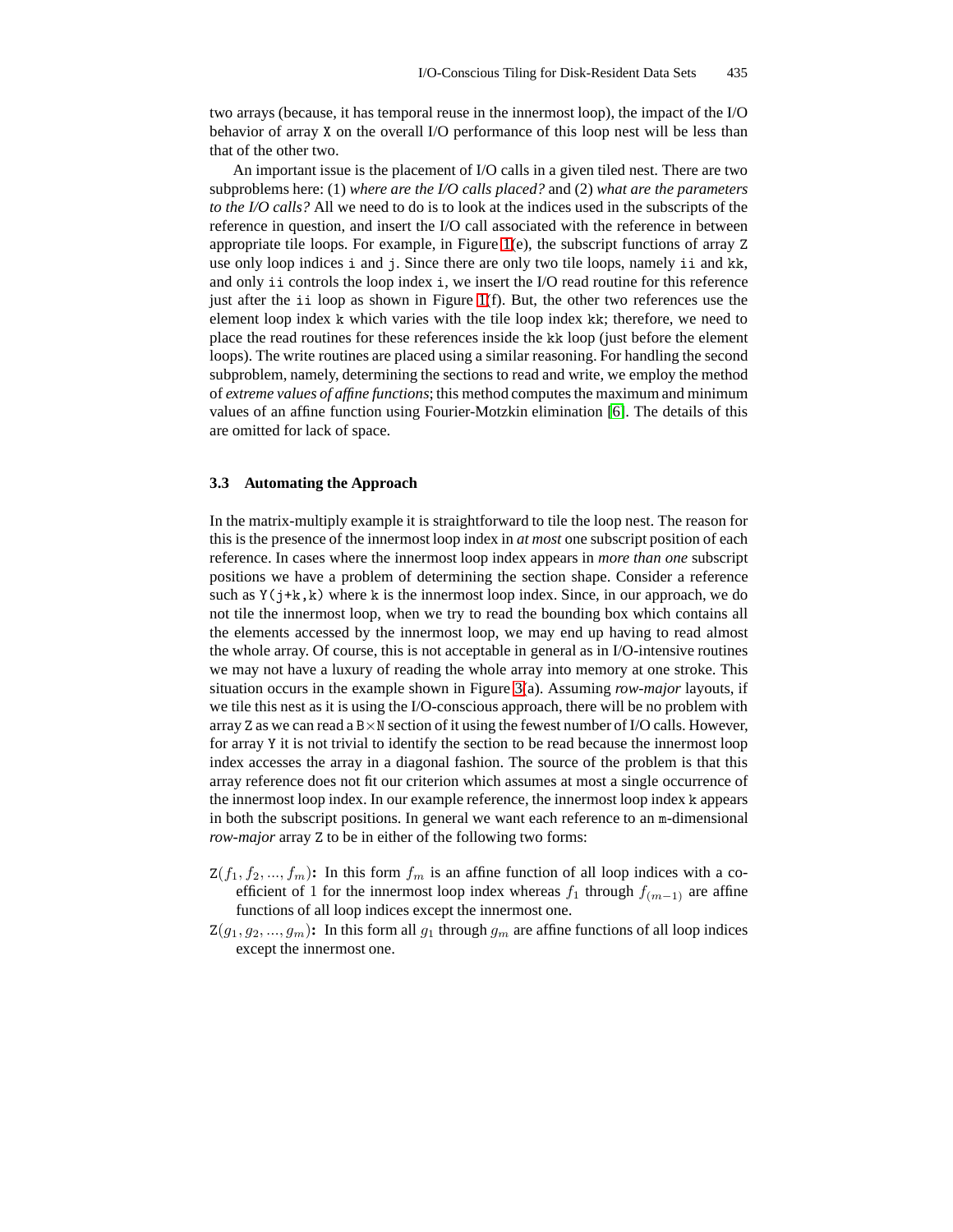two arrays (because, it has temporal reuse in the innermost loop), the impact of the I/O behavior of array X on the overall I/O performance of this loop nest will be less than that of the other two.

An important issue is the placement of I/O calls in a given tiled nest. There are two subproblems here: (1) *where are the I/O calls placed?* and (2) *what are the parameters to the I/O calls?* All we need to do is to look at the indices used in the subscripts of the reference in question, and insert the I/O call associated with the reference in between appropriate tile loops. For example, in Figure [1\(](#page-2-0)e), the subscript functions of array Z use only loop indices i and j. Since there are only two tile loops, namely ii and kk, and only ii controls the loop index i, we insert the I/O read routine for this reference just after the ii loop as shown in Figure [1\(](#page-2-0)f). But, the other two references use the element loop index k which varies with the tile loop index kk; therefore, we need to place the read routines for these references inside the kk loop (just before the element loops). The write routines are placed using a similar reasoning. For handling the second subproblem, namely, determining the sections to read and write, we employ the method of *extreme values of affine functions*; this method computes the maximum and minimum values of an affine function using Fourier-Motzkin elimination [\[6\]](#page-9-0). The details of this are omitted for lack of space.

#### **3.3 Automating the Approach**

In the matrix-multiply example it is straightforward to tile the loop nest. The reason for this is the presence of the innermost loop index in *at most* one subscript position of each reference. In cases where the innermost loop index appears in *more than one* subscript positions we have a problem of determining the section shape. Consider a reference such as  $Y(j+k, k)$  where k is the innermost loop index. Since, in our approach, we do not tile the innermost loop, when we try to read the bounding box which contains all the elements accessed by the innermost loop, we may end up having to read almost the whole array. Of course, this is not acceptable in general as in I/O-intensive routines we may not have a luxury of reading the whole array into memory at one stroke. This situation occurs in the example shown in Figure [3\(](#page-7-0)a). Assuming *row-major* layouts, if we tile this nest as it is using the I/O-conscious approach, there will be no problem with array Z as we can read a  $B \times N$  section of it using the fewest number of I/O calls. However, for array Y it is not trivial to identify the section to be read because the innermost loop index accesses the array in a diagonal fashion. The source of the problem is that this array reference does not fit our criterion which assumes at most a single occurrence of the innermost loop index. In our example reference, the innermost loop index k appears in both the subscript positions. In general we want each reference to an m-dimensional *row-major* array Z to be in either of the following two forms:

- $Z(f_1, f_2, ..., f_m)$ : In this form  $f_m$  is an affine function of all loop indices with a coefficient of 1 for the innermost loop index whereas  $f_1$  through  $f_{(m-1)}$  are affine functions of all loop indices except the innermost one.
- $Z(g_1, g_2, ..., g_m)$ : In this form all  $g_1$  through  $g_m$  are affine functions of all loop indices except the innermost one.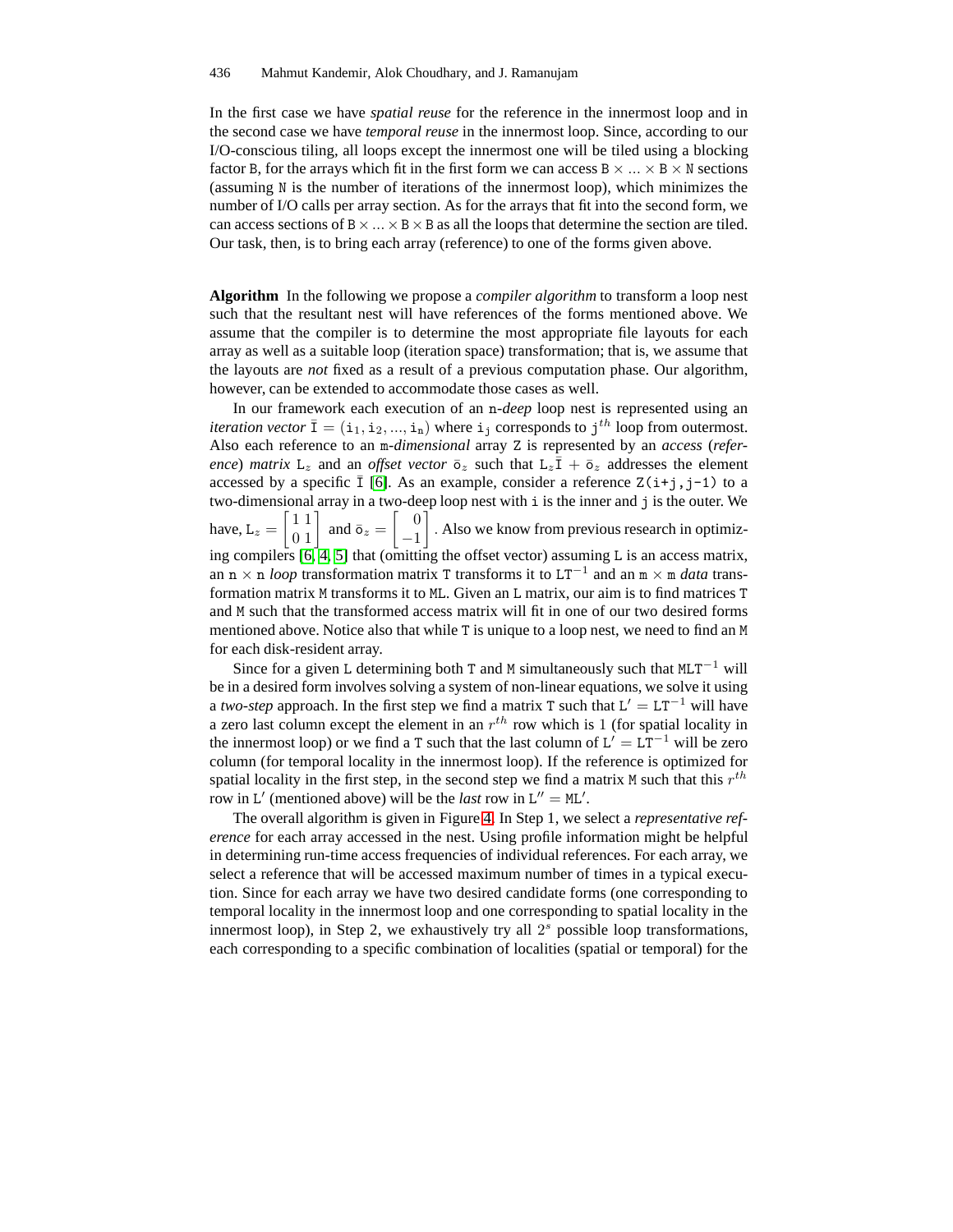In the first case we have *spatial reuse* for the reference in the innermost loop and in the second case we have *temporal reuse* in the innermost loop. Since, according to our I/O-conscious tiling, all loops except the innermost one will be tiled using a blocking factor B, for the arrays which fit in the first form we can access  $B \times ... \times B \times N$  sections (assuming N is the number of iterations of the innermost loop), which minimizes the number of I/O calls per array section. As for the arrays that fit into the second form, we can access sections of  $B \times ... \times B \times B$  as all the loops that determine the section are tiled. Our task, then, is to bring each array (reference) to one of the forms given above.

**Algorithm** In the following we propose a *compiler algorithm* to transform a loop nest such that the resultant nest will have references of the forms mentioned above. We assume that the compiler is to determine the most appropriate file layouts for each array as well as a suitable loop (iteration space) transformation; that is, we assume that the layouts are *not* fixed as a result of a previous computation phase. Our algorithm, however, can be extended to accommodate those cases as well.

In our framework each execution of an n-*deep* loop nest is represented using an *iteration vector*  $\bar{I} = (i_1, i_2, ..., i_n)$  where  $i_j$  corresponds to  $j^{th}$  loop from outermost. Also each reference to an m-*dimensional* array Z is represented by an *access* (*reference*) *matrix*  $L_z$  and an *offset vector*  $\bar{\sigma}_z$  such that  $L_z\bar{I} + \bar{\sigma}_z$  addresses the element accessed by a specific  $\bar{I}$  [\[6\]](#page-9-0). As an example, consider a reference  $Z(i+j,j-1)$  to a two-dimensional array in a two-deep loop nest with i is the inner and j is the outer. We have,  $L_z = \begin{bmatrix} 1 & 1 \\ 0 & 1 \end{bmatrix}$  and  $\bar{o}_z = \begin{bmatrix} 0 & 1 \\ -1 & 1 \end{bmatrix}$  $\frac{-1}{\cdot}$  . Also we know from previous research in optimizing compilers [\[6,](#page-9-0) [4,](#page-9-5) [5\]](#page-9-6) that (omitting the offset vector) assuming L is an access matrix, an <sup>n</sup> <sup>×</sup> <sup>n</sup> *loop* transformation matrix <sup>T</sup> transforms it to LT−<sup>1</sup> and an <sup>m</sup> <sup>×</sup> <sup>m</sup> *data* transformation matrix M transforms it to ML. Given an L matrix, our aim is to find matrices T and M such that the transformed access matrix will fit in one of our two desired forms mentioned above. Notice also that while T is unique to a loop nest, we need to find an M for each disk-resident array.

Since for a given L determining both T and M simultaneously such that MLT<sup>-1</sup> will be in a desired form involves solving a system of non-linear equations, we solve it using a *two-step* approach. In the first step we find a matrix T such that  $L' = LT^{-1}$  will have a zero last column except the element in an  $r^{th}$  row which is 1 (for spatial locality in the innermost loop) or we find a T such that the last column of  $L' = LT^{-1}$  will be zero column (for temporal locality in the innermost loop). If the reference is optimized for spatial locality in the first step, in the second step we find a matrix M such that this  $r^{th}$ row in L' (mentioned above) will be the *last* row in L'' = ML'.

The overall algorithm is given in Figure [4.](#page-8-1) In Step 1, we select a *representative reference* for each array accessed in the nest. Using profile information might be helpful in determining run-time access frequencies of individual references. For each array, we select a reference that will be accessed maximum number of times in a typical execution. Since for each array we have two desired candidate forms (one corresponding to temporal locality in the innermost loop and one corresponding to spatial locality in the innermost loop), in Step 2, we exhaustively try all  $2<sup>s</sup>$  possible loop transformations, each corresponding to a specific combination of localities (spatial or temporal) for the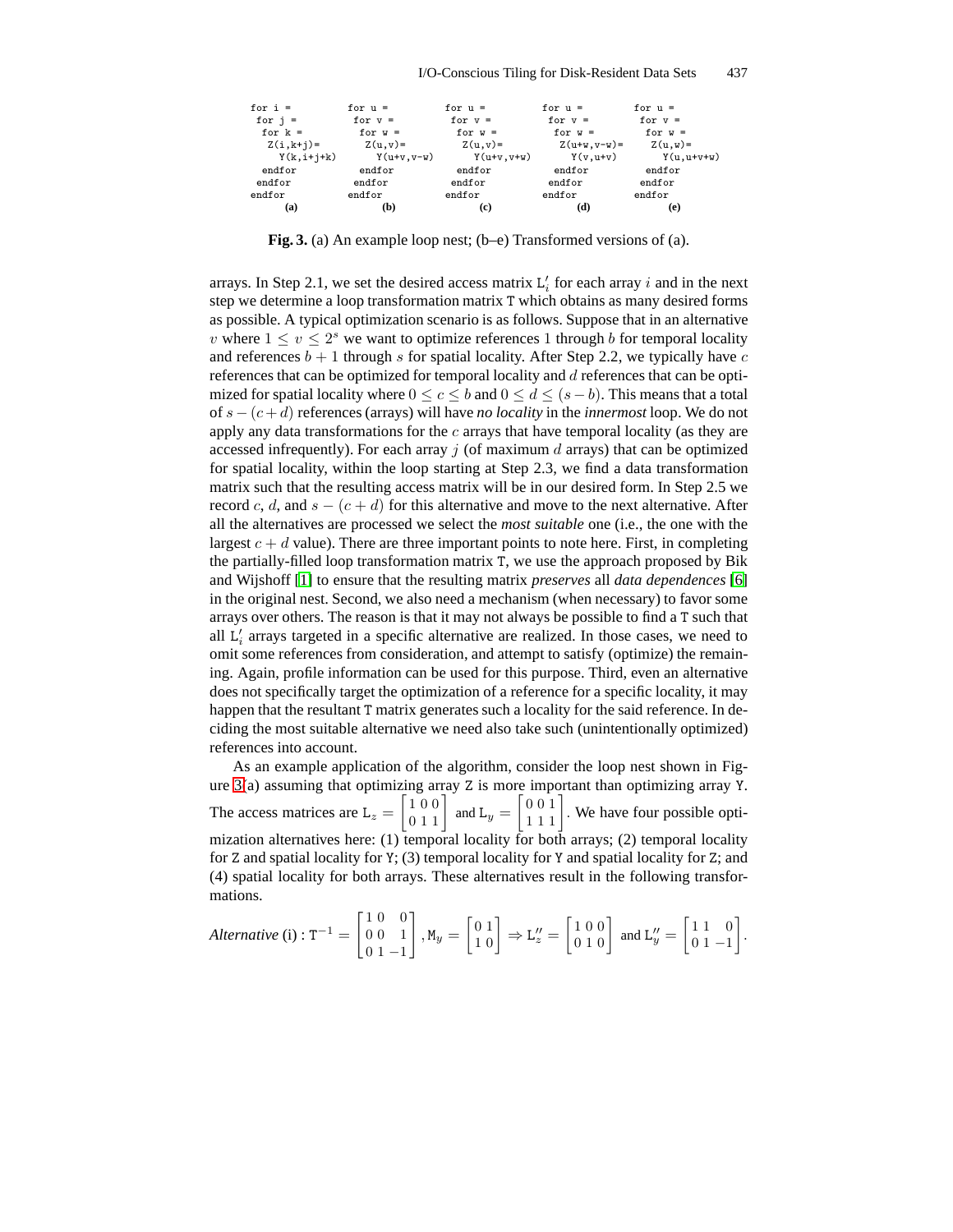| for $i =$     | for $u =$    | for $u =$                   | for $u =$     | for $u =$     |
|---------------|--------------|-----------------------------|---------------|---------------|
| for $j =$     | for $v =$    | for $v =$                   | for $v =$     | for $v =$     |
| for $k =$     | for $w =$    | for $w =$                   | for $w =$     | for $w =$     |
| $Z(i, k+j) =$ | $Z(u,v)$ =   | $Z(u,v)$ =                  | $Z(u+w,v-w)=$ | $Z(u,w)$ =    |
| $Y(k,i+j+k)$  | $Y(u+v,v-w)$ | $Y(u+v,v+w)$                | $Y(v, u+v)$   | $Y(u, u+v+w)$ |
| endfor        | endfor       | endfor                      | endfor        | endfor        |
| endfor        | endfor       | endfor                      | endfor        | endfor        |
| endfor        | endfor       | endfor                      | endfor        | endfor        |
| (a)           | (b)          | $\left( \mathbf{c} \right)$ | (d)           | (e)           |

**Fig. 3.** (a) An example loop nest; (b–e) Transformed versions of (a).

<span id="page-7-0"></span>arrays. In Step 2.1, we set the desired access matrix  $L'_i$  for each array i and in the next step we determine a loop transformation matrix T which obtains as many desired forms as possible. A typical optimization scenario is as follows. Suppose that in an alternative v where  $1 \le v \le 2^s$  we want to optimize references 1 through b for temporal locality and references  $b + 1$  through s for spatial locality. After Step 2.2, we typically have c references that can be optimized for temporal locality and  $d$  references that can be optimized for spatial locality where  $0 \le c \le b$  and  $0 \le d \le (s - b)$ . This means that a total of s − (c + d) references (arrays) will have *no locality* in the *innermost* loop. We do not apply any data transformations for the  $c$  arrays that have temporal locality (as they are accessed infrequently). For each array  $j$  (of maximum  $d$  arrays) that can be optimized for spatial locality, within the loop starting at Step 2.3, we find a data transformation matrix such that the resulting access matrix will be in our desired form. In Step 2.5 we record c, d, and  $s - (c + d)$  for this alternative and move to the next alternative. After all the alternatives are processed we select the *most suitable* one (i.e., the one with the largest  $c + d$  value). There are three important points to note here. First, in completing the partially-filled loop transformation matrix T, we use the approach proposed by Bik and Wijshoff [\[1\]](#page-9-7) to ensure that the resulting matrix *preserves* all *data dependences* [\[6\]](#page-9-0) in the original nest. Second, we also need a mechanism (when necessary) to favor some arrays over others. The reason is that it may not always be possible to find a T such that all  $L'_i$  arrays targeted in a specific alternative are realized. In those cases, we need to omit some references from consideration, and attempt to satisfy (optimize) the remaining. Again, profile information can be used for this purpose. Third, even an alternative does not specifically target the optimization of a reference for a specific locality, it may happen that the resultant T matrix generates such a locality for the said reference. In deciding the most suitable alternative we need also take such (unintentionally optimized) references into account.

As an example application of the algorithm, consider the loop nest shown in Figure [3\(](#page-7-0)a) assuming that optimizing array Z is more important than optimizing array Y. The access matrices are  $L_z = \begin{bmatrix} 1 & 0 & 0 \\ 0 & 1 & 1 \end{bmatrix}$  and  $L_y = \begin{bmatrix} 0 & 0 & 1 \\ 1 & 1 & 1 \end{bmatrix}$ . We have four possible optimization alternatives here:  $(1)$  temporal locality for both arrays;  $(2)$  temporal locality for Z and spatial locality for Y; (3) temporal locality for Y and spatial locality for Z; and (4) spatial locality for both arrays. These alternatives result in the following transformations.

$$
Alternative (i): \mathsf{T}^{-1} = \begin{bmatrix} 1 & 0 & 0 \\ 0 & 0 & 1 \\ 0 & 1 & -1 \end{bmatrix}, \mathsf{M}_y = \begin{bmatrix} 0 & 1 \\ 1 & 0 \end{bmatrix} \Rightarrow \mathsf{L}_z'' = \begin{bmatrix} 1 & 0 & 0 \\ 0 & 1 & 0 \end{bmatrix} \text{ and } \mathsf{L}_y'' = \begin{bmatrix} 1 & 1 & 0 \\ 0 & 1 & -1 \end{bmatrix}.
$$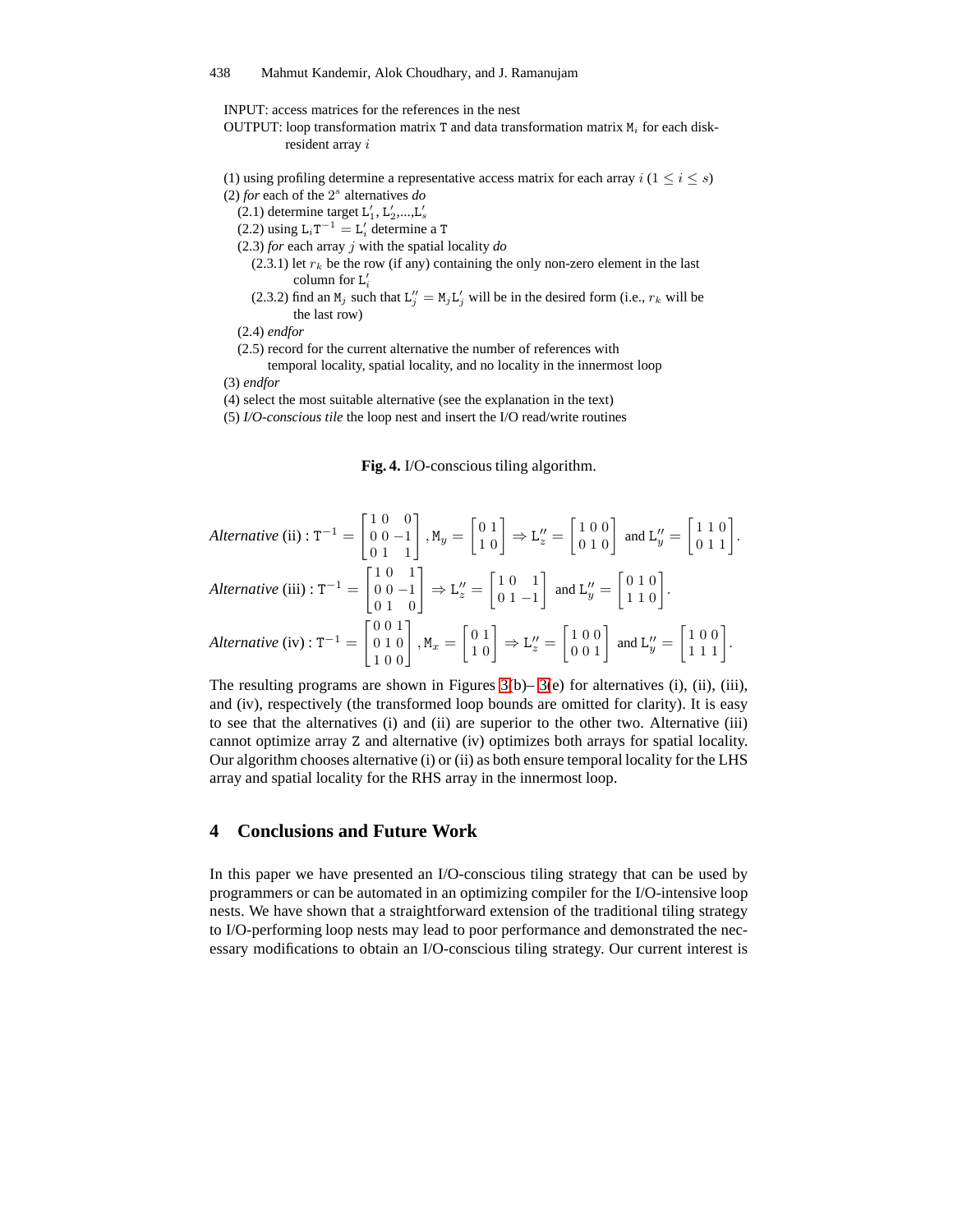INPUT: access matrices for the references in the nest

OUTPUT: loop transformation matrix T and data transformation matrix  $M_i$  for each diskresident array i

(1) using profiling determine a representative access matrix for each array  $i$  (1  $\le i \le s$ ) (2) *for* each of the  $2<sup>s</sup>$  alternatives *do* 

- (2.1) determine target  $L'_1, L'_2, ..., L'_s$
- (2.2) using  $L_iT^{-1} = L'_i$  determine a T
- (2.3) *for* each array j with the spatial locality *do*
	- $(2.3.1)$  let  $r_k$  be the row (if any) containing the only non-zero element in the last column for  $\mathsf{L}'_i$
	- (2.3.2) find an  $M_j$  such that  $L''_j = M_j L'_j$  will be in the desired form (i.e.,  $r_k$  will be the last row)
- (2.4) *endfor*

(2.5) record for the current alternative the number of references with

temporal locality, spatial locality, and no locality in the innermost loop (3) *endfor*

- (4) select the most suitable alternative (see the explanation in the text)
- (5) *I/O-conscious tile* the loop nest and insert the I/O read/write routines

<span id="page-8-1"></span>**Fig. 4.** I/O-conscious tiling algorithm.

$$
Alternative (ii) : T^{-1} = \begin{bmatrix} 1 & 0 & 0 \\ 0 & 0 & -1 \\ 0 & 1 & 1 \end{bmatrix}, M_y = \begin{bmatrix} 0 & 1 \\ 1 & 0 \end{bmatrix} \Rightarrow L_z'' = \begin{bmatrix} 1 & 0 & 0 \\ 0 & 1 & 0 \end{bmatrix} \text{ and } L_y'' = \begin{bmatrix} 1 & 1 & 0 \\ 0 & 1 & 1 \end{bmatrix}.
$$
  
*Alternative* (iii) :  $T^{-1} = \begin{bmatrix} 1 & 0 & 1 \\ 0 & 0 & -1 \\ 0 & 1 & 0 \end{bmatrix} \Rightarrow L_z'' = \begin{bmatrix} 1 & 0 & 1 \\ 0 & 1 & -1 \end{bmatrix} \text{ and } L_y'' = \begin{bmatrix} 0 & 1 & 0 \\ 1 & 1 & 0 \end{bmatrix}.$   
*Alternative* (iv) :  $T^{-1} = \begin{bmatrix} 0 & 0 & 1 \\ 0 & 1 & 0 \\ 1 & 0 & 0 \end{bmatrix}, M_x = \begin{bmatrix} 0 & 1 \\ 1 & 0 \end{bmatrix} \Rightarrow L_z'' = \begin{bmatrix} 1 & 0 & 0 \\ 0 & 0 & 1 \end{bmatrix} \text{ and } L_y'' = \begin{bmatrix} 1 & 0 & 0 \\ 1 & 1 & 1 \end{bmatrix}.$ 

The resulting programs are shown in Figures  $3(b)$ – $3(e)$  for alternatives (i), (ii), (iii), and (iv), respectively (the transformed loop bounds are omitted for clarity). It is easy to see that the alternatives (i) and (ii) are superior to the other two. Alternative (iii) cannot optimize array Z and alternative (iv) optimizes both arrays for spatial locality. Our algorithm chooses alternative (i) or (ii) as both ensure temporal locality for the LHS array and spatial locality for the RHS array in the innermost loop.

### <span id="page-8-0"></span>**4 Conclusions and Future Work**

In this paper we have presented an I/O-conscious tiling strategy that can be used by programmers or can be automated in an optimizing compiler for the I/O-intensive loop nests. We have shown that a straightforward extension of the traditional tiling strategy to I/O-performing loop nests may lead to poor performance and demonstrated the necessary modifications to obtain an I/O-conscious tiling strategy. Our current interest is